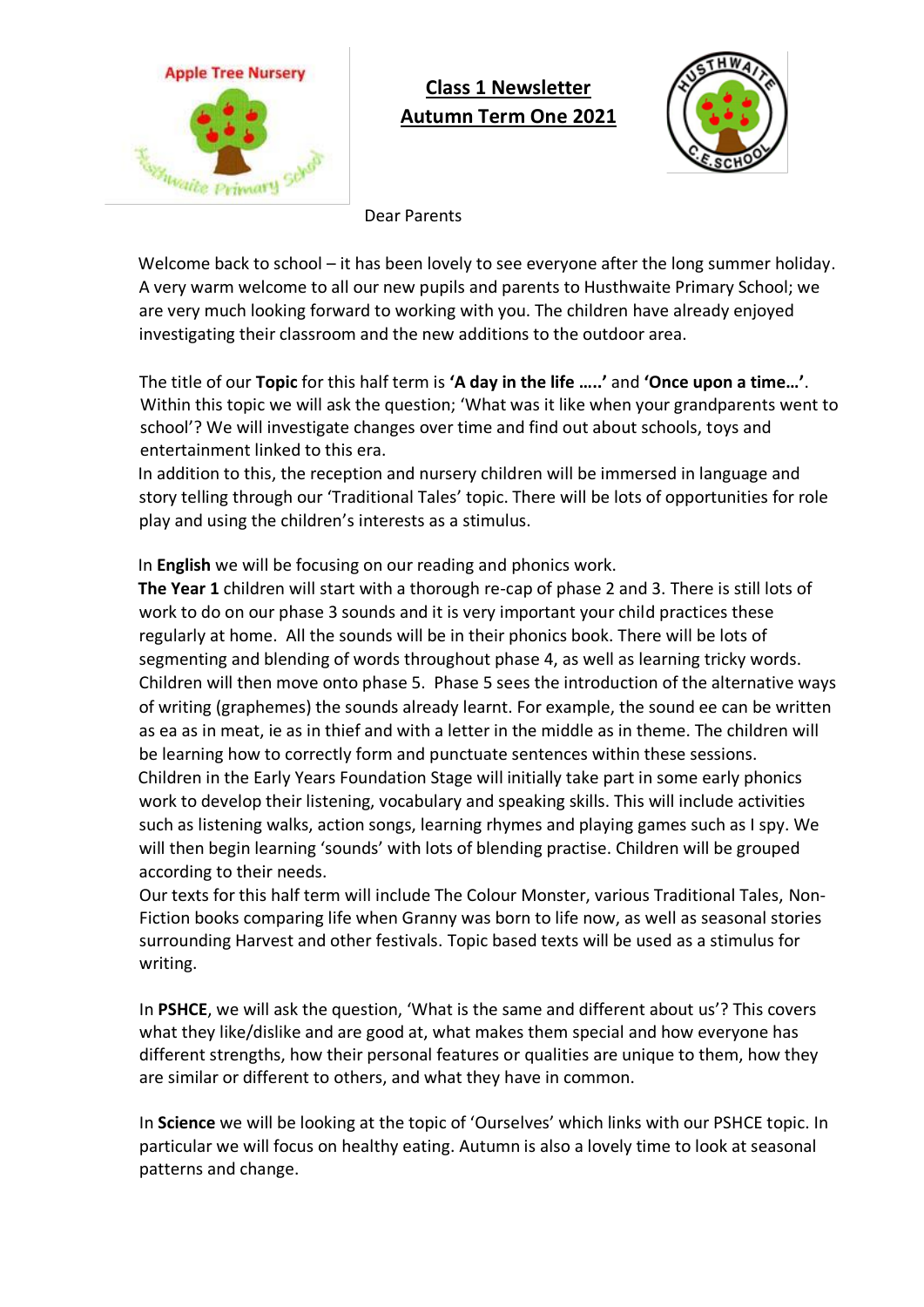

# **Class 1 Newsletter Autumn Term One 2021**



Dear Parents

Welcome back to school – it has been lovely to see everyone after the long summer holiday. A very warm welcome to all our new pupils and parents to Husthwaite Primary School; we are very much looking forward to working with you. The children have already enjoyed investigating their classroom and the new additions to the outdoor area.

The title of our **Topic** for this half term is **'A day in the life …..'** and **'Once upon a time…'**. Within this topic we will ask the question; 'What was it like when your grandparents went to school'? We will investigate changes over time and find out about schools, toys and entertainment linked to this era.

In addition to this, the reception and nursery children will be immersed in language and story telling through our 'Traditional Tales' topic. There will be lots of opportunities for role play and using the children's interests as a stimulus.

In **English** we will be focusing on our reading and phonics work.

**The Year 1** children will start with a thorough re-cap of phase 2 and 3. There is still lots of work to do on our phase 3 sounds and it is very important your child practices these regularly at home. All the sounds will be in their phonics book. There will be lots of segmenting and blending of words throughout phase 4, as well as learning tricky words. Children will then move onto phase 5. Phase 5 sees the introduction of the alternative ways of writing (graphemes) the sounds already learnt. For example, the sound ee can be written as ea as in meat, ie as in thief and with a letter in the middle as in theme. The children will be learning how to correctly form and punctuate sentences within these sessions. Children in the Early Years Foundation Stage will initially take part in some early phonics work to develop their listening, vocabulary and speaking skills. This will include activities such as listening walks, action songs, learning rhymes and playing games such as I spy. We will then begin learning 'sounds' with lots of blending practise. Children will be grouped according to their needs.

Our texts for this half term will include The Colour Monster, various Traditional Tales, Non-Fiction books comparing life when Granny was born to life now, as well as seasonal stories surrounding Harvest and other festivals. Topic based texts will be used as a stimulus for writing.

In **PSHCE**, we will ask the question, 'What is the same and different about us'? This covers what they like/dislike and are good at, what makes them special and how everyone has different strengths, how their personal features or qualities are unique to them, how they are similar or different to others, and what they have in common.

In **Science** we will be looking at the topic of 'Ourselves' which links with our PSHCE topic. In particular we will focus on healthy eating. Autumn is also a lovely time to look at seasonal patterns and change.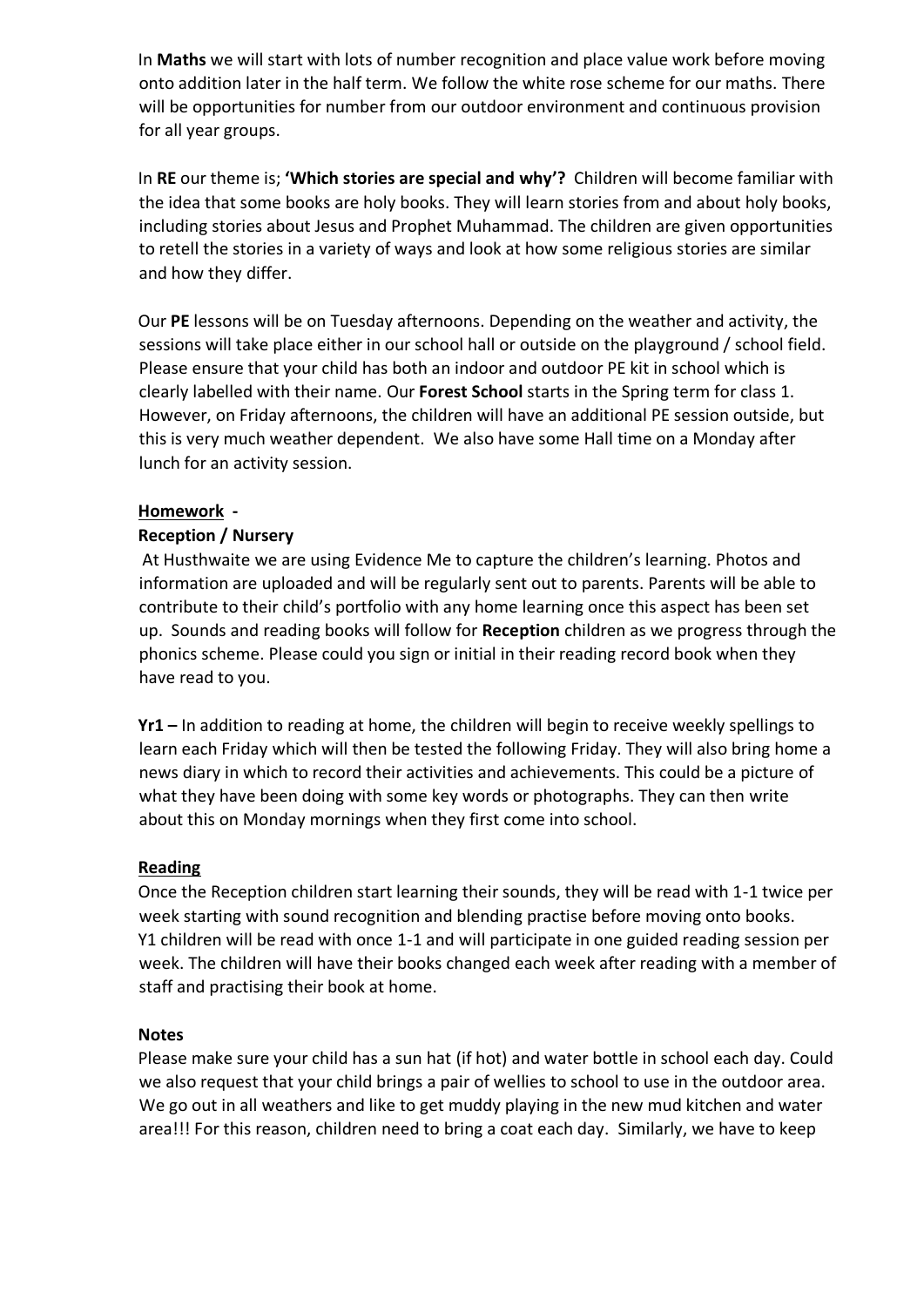In **Maths** we will start with lots of number recognition and place value work before moving onto addition later in the half term. We follow the white rose scheme for our maths. There will be opportunities for number from our outdoor environment and continuous provision for all year groups.

In **RE** our theme is; **'Which stories are special and why'?** Children will become familiar with the idea that some books are holy books. They will learn stories from and about holy books, including stories about Jesus and Prophet Muhammad. The children are given opportunities to retell the stories in a variety of ways and look at how some religious stories are similar and how they differ.

Our **PE** lessons will be on Tuesday afternoons. Depending on the weather and activity, the sessions will take place either in our school hall or outside on the playground / school field. Please ensure that your child has both an indoor and outdoor PE kit in school which is clearly labelled with their name. Our **Forest School** starts in the Spring term for class 1. However, on Friday afternoons, the children will have an additional PE session outside, but this is very much weather dependent. We also have some Hall time on a Monday after lunch for an activity session.

## **Homework -**

## **Reception / Nursery**

At Husthwaite we are using Evidence Me to capture the children's learning. Photos and information are uploaded and will be regularly sent out to parents. Parents will be able to contribute to their child's portfolio with any home learning once this aspect has been set up. Sounds and reading books will follow for **Reception** children as we progress through the phonics scheme. Please could you sign or initial in their reading record book when they have read to you.

**Yr1 –** In addition to reading at home, the children will begin to receive weekly spellings to learn each Friday which will then be tested the following Friday. They will also bring home a news diary in which to record their activities and achievements. This could be a picture of what they have been doing with some key words or photographs. They can then write about this on Monday mornings when they first come into school.

#### **Reading**

Once the Reception children start learning their sounds, they will be read with 1-1 twice per week starting with sound recognition and blending practise before moving onto books. Y1 children will be read with once 1-1 and will participate in one guided reading session per week. The children will have their books changed each week after reading with a member of staff and practising their book at home.

#### **Notes**

Please make sure your child has a sun hat (if hot) and water bottle in school each day. Could we also request that your child brings a pair of wellies to school to use in the outdoor area. We go out in all weathers and like to get muddy playing in the new mud kitchen and water area!!! For this reason, children need to bring a coat each day. Similarly, we have to keep